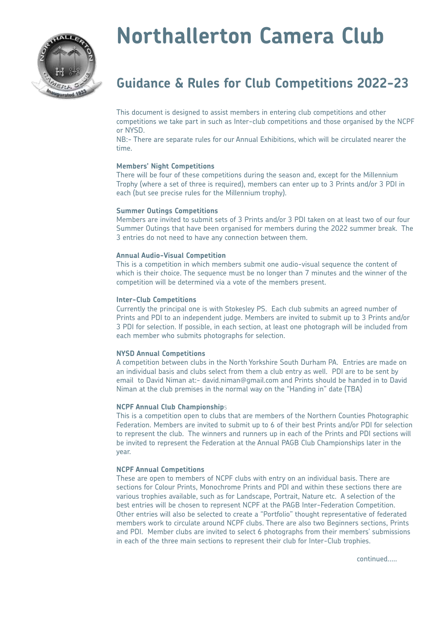

# **Northallerton Camera Club**

# **Guidance & Rules for Club Competitions 2022-23**

This document is designed to assist members in entering club competitions and other competitions we take part in such as Inter-club competitions and those organised by the NCPF or NYSD.

NB:- There are separate rules for our Annual Exhibitions, which will be circulated nearer the time.

# **Members' Night Competitions**

There will be four of these competitions during the season and, except for the Millennium Trophy (where a set of three is required), members can enter up to 3 Prints and/or 3 PDI in each (but see precise rules for the Millennium trophy).

#### **Summer Outings Competitions**

Members are invited to submit sets of 3 Prints and/or 3 PDI taken on at least two of our four Summer Outings that have been organised for members during the 2022 summer break. The 3 entries do not need to have any connection between them.

#### **Annual Audio-Visual Competition**

This is a competition in which members submit one audio-visual sequence the content of which is their choice. The sequence must be no longer than 7 minutes and the winner of the competition will be determined via a vote of the members present.

#### **Inter-Club Competitions**

Currently the principal one is with Stokesley PS. Each club submits an agreed number of Prints and PDI to an independent judge. Members are invited to submit up to 3 Prints and/or 3 PDI for selection. If possible, in each section, at least one photograph will be included from each member who submits photographs for selection.

#### **NYSD Annual Competitions**

A competition between clubs in the North Yorkshire South Durham PA. Entries are made on an individual basis and clubs select from them a club entry as well. PDI are to be sent by email to David Niman at:- david.niman@gmail.com and Prints should be handed in to David Niman at the club premises in the normal way on the "Handing in" date (TBA)

# **NCPF Annual Club Championship**s

This is a competition open to clubs that are members of the Northern Counties Photographic Federation. Members are invited to submit up to 6 of their best Prints and/or PDI for selection to represent the club. The winners and runners up in each of the Prints and PDI sections will be invited to represent the Federation at the Annual PAGB Club Championships later in the year.

# **NCPF Annual Competitions**

These are open to members of NCPF clubs with entry on an individual basis. There are sections for Colour Prints, Monochrome Prints and PDI and within these sections there are various trophies available, such as for Landscape, Portrait, Nature etc. A selection of the best entries will be chosen to represent NCPF at the PAGB Inter-Federation Competition. Other entries will also be selected to create a "Portfolio" thought representative of federated members work to circulate around NCPF clubs. There are also two Beginners sections, Prints and PDI. Member clubs are invited to select 6 photographs from their members' submissions in each of the three main sections to represent their club for Inter-Club trophies.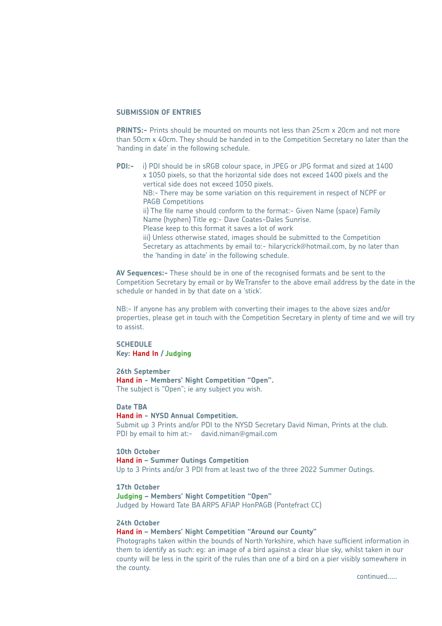#### **SUBMISSION OF ENTRIES**

**PRINTS:-** Prints should be mounted on mounts not less than 25cm x 20cm and not more than 50cm x 40cm. They should be handed in to the Competition Secretary no later than the 'handing in date' in the following schedule.

**PDI:-** i) PDI should be in sRGB colour space, in JPEG or JPG format and sized at 1400 x 1050 pixels, so that the horizontal side does not exceed 1400 pixels and the vertical side does not exceed 1050 pixels. NB:- There may be some variation on this requirement in respect of NCPF or PAGB Competitions ii) The file name should conform to the format:- Given Name (space) Family Name (hyphen) Title eg:- Dave Coates-Dales Sunrise. Please keep to this format it saves a lot of work iii) Unless otherwise stated, images should be submitted to the Competition Secretary as attachments by email to:- hilarycrick@hotmail.com, by no later than the 'handing in date' in the following schedule.

**AV Sequences:-** These should be in one of the recognised formats and be sent to the Competition Secretary by email or by WeTransfer to the above email address by the date in the schedule or handed in by that date on a 'stick'.

NB:- If anyone has any problem with converting their images to the above sizes and/or properties, please get in touch with the Competition Secretary in plenty of time and we will try to assist.

# **SCHEDULE Key: Hand In / Judging**

**26th September Hand in - Members' Night Competition "Open".**  The subject is "Open"; ie any subject you wish.

## **Date TBA**

**Hand in - NYSD Annual Competition.** Submit up 3 Prints and/or PDI to the NYSD Secretary David Niman, Prints at the club. PDI by email to him at:- david.niman@gmail.com

# **10th October Hand in – Summer Outings Competition** Up to 3 Prints and/or 3 PDI from at least two of the three 2022 Summer Outings.

**17th October Judging – Members' Night Competition "Open"**  Judged by Howard Tate BA ARPS AFIAP HonPAGB (Pontefract CC)

# **24th October**

# **Hand in – Members' Night Competition "Around our County"**

Photographs taken within the bounds of North Yorkshire, which have sufficient information in them to identify as such: eg: an image of a bird against a clear blue sky, whilst taken in our county will be less in the spirit of the rules than one of a bird on a pier visibly somewhere in the county.

continued.....